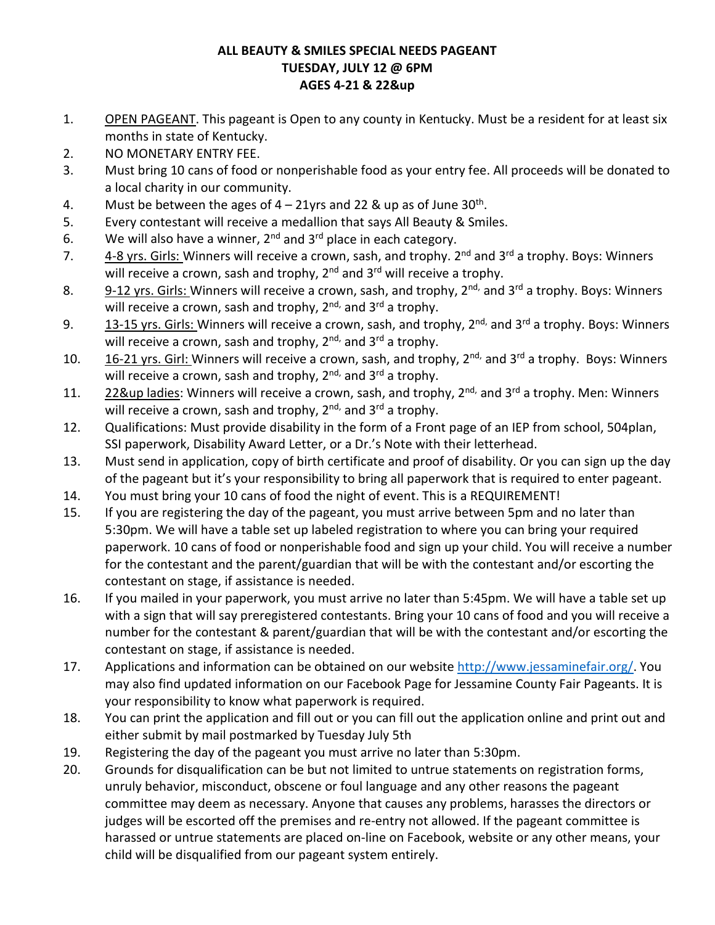## **ALL BEAUTY & SMILES SPECIAL NEEDS PAGEANT TUESDAY, JULY 12 @ 6PM AGES 4-21 & 22&up**

- 1. OPEN PAGEANT. This pageant is Open to any county in Kentucky. Must be a resident for at least six months in state of Kentucky.
- 2. NO MONETARY ENTRY FEE.
- 3. Must bring 10 cans of food or nonperishable food as your entry fee. All proceeds will be donated to a local charity in our community.
- 4. Must be between the ages of  $4 21$ yrs and 22 & up as of June 30<sup>th</sup>.
- 5. Every contestant will receive a medallion that says All Beauty & Smiles.
- 6. We will also have a winner,  $2^{nd}$  and  $3^{rd}$  place in each category.
- 7. 4-8 yrs. Girls: Winners will receive a crown, sash, and trophy. 2<sup>nd</sup> and 3<sup>rd</sup> a trophy. Boys: Winners will receive a crown, sash and trophy,  $2<sup>nd</sup>$  and  $3<sup>rd</sup>$  will receive a trophy.
- 8. 9-12 yrs. Girls: Winners will receive a crown, sash, and trophy, 2<sup>nd,</sup> and 3<sup>rd</sup> a trophy. Boys: Winners will receive a crown, sash and trophy,  $2^{nd}$ , and  $3^{rd}$  a trophy.
- 9.  $13-15$  yrs. Girls: Winners will receive a crown, sash, and trophy,  $2^{nd}$ , and  $3^{rd}$  a trophy. Boys: Winners will receive a crown, sash and trophy,  $2^{nd}$ , and  $3^{rd}$  a trophy.
- 10.  $16-21$  yrs. Girl: Winners will receive a crown, sash, and trophy,  $2^{nd}$ , and  $3^{rd}$  a trophy. Boys: Winners will receive a crown, sash and trophy,  $2^{nd}$ , and  $3^{rd}$  a trophy.
- 11. 22&up ladies: Winners will receive a crown, sash, and trophy, 2<sup>nd,</sup> and 3<sup>rd</sup> a trophy. Men: Winners will receive a crown, sash and trophy,  $2^{nd}$ , and  $3^{rd}$  a trophy.
- 12. Qualifications: Must provide disability in the form of a Front page of an IEP from school, 504plan, SSI paperwork, Disability Award Letter, or a Dr.'s Note with their letterhead.
- 13. Must send in application, copy of birth certificate and proof of disability. Or you can sign up the day of the pageant but it's your responsibility to bring all paperwork that is required to enter pageant.
- 14. You must bring your 10 cans of food the night of event. This is a REQUIREMENT!
- 15. If you are registering the day of the pageant, you must arrive between 5pm and no later than 5:30pm. We will have a table set up labeled registration to where you can bring your required paperwork. 10 cans of food or nonperishable food and sign up your child. You will receive a number for the contestant and the parent/guardian that will be with the contestant and/or escorting the contestant on stage, if assistance is needed.
- 16. If you mailed in your paperwork, you must arrive no later than 5:45pm. We will have a table set up with a sign that will say preregistered contestants. Bring your 10 cans of food and you will receive a number for the contestant & parent/guardian that will be with the contestant and/or escorting the contestant on stage, if assistance is needed.
- 17. Applications and information can be obtained on our websit[e http://www.jessaminefair.org/.](http://www.jessaminefair.org/) You may also find updated information on our Facebook Page for Jessamine County Fair Pageants. It is your responsibility to know what paperwork is required.
- 18. You can print the application and fill out or you can fill out the application online and print out and either submit by mail postmarked by Tuesday July 5th
- 19. Registering the day of the pageant you must arrive no later than 5:30pm.
- 20. Grounds for disqualification can be but not limited to untrue statements on registration forms, unruly behavior, misconduct, obscene or foul language and any other reasons the pageant committee may deem as necessary. Anyone that causes any problems, harasses the directors or judges will be escorted off the premises and re-entry not allowed. If the pageant committee is harassed or untrue statements are placed on-line on Facebook, website or any other means, your child will be disqualified from our pageant system entirely.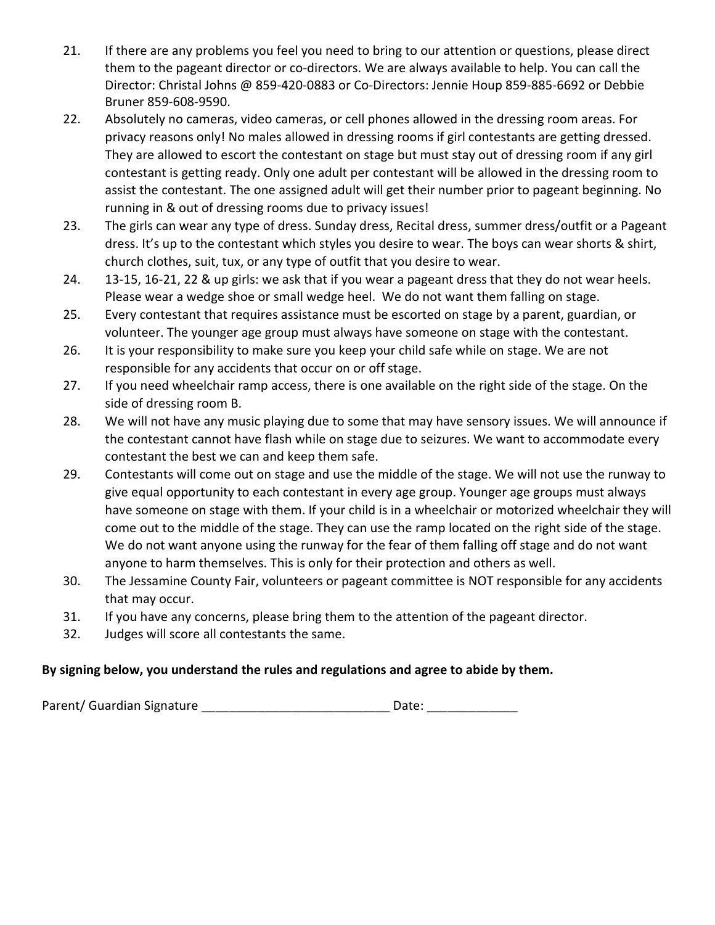- 21. If there are any problems you feel you need to bring to our attention or questions, please direct them to the pageant director or co-directors. We are always available to help. You can call the Director: Christal Johns @ 859-420-0883 or Co-Directors: Jennie Houp 859-885-6692 or Debbie Bruner 859-608-9590.
- 22. Absolutely no cameras, video cameras, or cell phones allowed in the dressing room areas. For privacy reasons only! No males allowed in dressing rooms if girl contestants are getting dressed. They are allowed to escort the contestant on stage but must stay out of dressing room if any girl contestant is getting ready. Only one adult per contestant will be allowed in the dressing room to assist the contestant. The one assigned adult will get their number prior to pageant beginning. No running in & out of dressing rooms due to privacy issues!
- 23. The girls can wear any type of dress. Sunday dress, Recital dress, summer dress/outfit or a Pageant dress. It's up to the contestant which styles you desire to wear. The boys can wear shorts & shirt, church clothes, suit, tux, or any type of outfit that you desire to wear.
- 24. 13-15, 16-21, 22 & up girls: we ask that if you wear a pageant dress that they do not wear heels. Please wear a wedge shoe or small wedge heel. We do not want them falling on stage.
- 25. Every contestant that requires assistance must be escorted on stage by a parent, guardian, or volunteer. The younger age group must always have someone on stage with the contestant.
- 26. It is your responsibility to make sure you keep your child safe while on stage. We are not responsible for any accidents that occur on or off stage.
- 27. If you need wheelchair ramp access, there is one available on the right side of the stage. On the side of dressing room B.
- 28. We will not have any music playing due to some that may have sensory issues. We will announce if the contestant cannot have flash while on stage due to seizures. We want to accommodate every contestant the best we can and keep them safe.
- 29. Contestants will come out on stage and use the middle of the stage. We will not use the runway to give equal opportunity to each contestant in every age group. Younger age groups must always have someone on stage with them. If your child is in a wheelchair or motorized wheelchair they will come out to the middle of the stage. They can use the ramp located on the right side of the stage. We do not want anyone using the runway for the fear of them falling off stage and do not want anyone to harm themselves. This is only for their protection and others as well.
- 30. The Jessamine County Fair, volunteers or pageant committee is NOT responsible for any accidents that may occur.
- 31. If you have any concerns, please bring them to the attention of the pageant director.
- 32. Judges will score all contestants the same.

## **By signing below, you understand the rules and regulations and agree to abide by them.**

Parent/ Guardian Signature \_\_\_\_\_\_\_\_\_\_\_\_\_\_\_\_\_\_\_\_\_\_\_\_\_\_\_\_\_\_\_\_\_\_\_ Date: \_\_\_\_\_\_\_\_\_\_\_\_